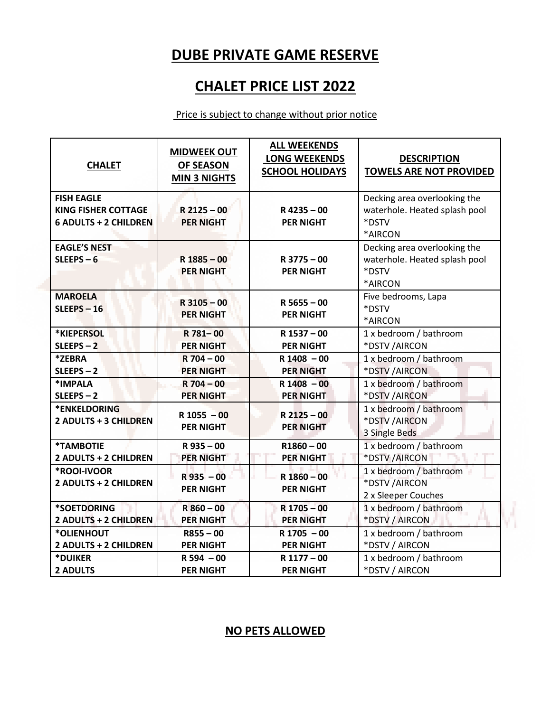## **DUBE PRIVATE GAME RESERVE**

## **CHALET PRICE LIST 2022**

#### Price is subject to change without prior notice

| <b>CHALET</b>                                                                   | <b>MIDWEEK OUT</b><br><b>OF SEASON</b><br><b>MIN 3 NIGHTS</b> | <b>ALL WEEKENDS</b><br><b>LONG WEEKENDS</b><br><b>SCHOOL HOLIDAYS</b> | <b>DESCRIPTION</b><br><b>TOWELS ARE NOT PROVIDED</b>                              |
|---------------------------------------------------------------------------------|---------------------------------------------------------------|-----------------------------------------------------------------------|-----------------------------------------------------------------------------------|
| <b>FISH EAGLE</b><br><b>KING FISHER COTTAGE</b><br><b>6 ADULTS + 2 CHILDREN</b> | $R$ 2125 - 00<br><b>PER NIGHT</b>                             | $R$ 4235 - 00<br><b>PER NIGHT</b>                                     | Decking area overlooking the<br>waterhole. Heated splash pool<br>*DSTV<br>*AIRCON |
| <b>EAGLE'S NEST</b><br>$SLEEPS-6$                                               | $R$ 1885 - 00<br><b>PER NIGHT</b>                             | $R$ 3775 - 00<br><b>PER NIGHT</b>                                     | Decking area overlooking the<br>waterhole. Heated splash pool<br>*DSTV<br>*AIRCON |
| <b>MAROELA</b><br>$SLEIPS - 16$                                                 | $R$ 3105 - 00<br><b>PER NIGHT</b>                             | $R$ 5655 - 00<br><b>PER NIGHT</b>                                     | Five bedrooms, Lapa<br>*DSTV<br>*AIRCON                                           |
| *KIEPERSOL                                                                      | R 781-00                                                      | R 1537 - 00                                                           | 1 x bedroom / bathroom                                                            |
| $SLEEPS - 2$                                                                    | <b>PER NIGHT</b>                                              | <b>PER NIGHT</b>                                                      | *DSTV /AIRCON                                                                     |
| *ZEBRA                                                                          | $R$ 704 - 00                                                  | $R$ 1408 - 00                                                         | 1 x bedroom / bathroom                                                            |
| $SLEEPS-2$                                                                      | <b>PER NIGHT</b>                                              | <b>PER NIGHT</b>                                                      | *DSTV /AIRCON                                                                     |
| *IMPALA                                                                         | $R$ 704 - 00                                                  | $R$ 1408 - 00                                                         | 1 x bedroom / bathroom                                                            |
| $SLEEPS-2$                                                                      | <b>PER NIGHT</b>                                              | <b>PER NIGHT</b>                                                      | *DSTV /AIRCON                                                                     |
| *ENKELDORING<br><b>2 ADULTS + 3 CHILDREN</b>                                    | $R$ 1055 $-00$<br><b>PER NIGHT</b>                            | $R$ 2125 - 00<br><b>PER NIGHT</b>                                     | 1 x bedroom / bathroom<br>*DSTV /AIRCON<br>3 Single Beds                          |
| *TAMBOTIE                                                                       | $R$ 935 - 00                                                  | $R1860 - 00$                                                          | 1 x bedroom / bathroom                                                            |
| 2 ADULTS + 2 CHILDREN                                                           | <b>PER NIGHT</b>                                              | <b>PER NIGHT</b>                                                      | *DSTV /AIRCON                                                                     |
| *ROOI-IVOOR<br>2 ADULTS + 2 CHILDREN                                            | $R$ 935 $-00$<br><b>PER NIGHT</b>                             | $R$ 1860 - 00<br><b>PER NIGHT</b>                                     | 1 x bedroom / bathroom<br>*DSTV /AIRCON<br>2 x Sleeper Couches                    |
| *SOETDORING                                                                     | $R860 - 00$                                                   | R 1705 - 00                                                           | 1 x bedroom / bathroom                                                            |
| 2 ADULTS + 2 CHILDREN                                                           | <b>PER NIGHT</b>                                              | <b>PER NIGHT</b>                                                      | *DSTV / AIRCON                                                                    |
| *OLIENHOUT                                                                      | $R855 - 00$                                                   | $R$ 1705 - 00                                                         | 1 x bedroom / bathroom                                                            |
| 2 ADULTS + 2 CHILDREN                                                           | <b>PER NIGHT</b>                                              | <b>PER NIGHT</b>                                                      | *DSTV / AIRCON                                                                    |
| *DUIKER                                                                         | $R 594 - 00$                                                  | R 1177 - 00                                                           | 1 x bedroom / bathroom                                                            |
| <b>2 ADULTS</b>                                                                 | <b>PER NIGHT</b>                                              | <b>PER NIGHT</b>                                                      | *DSTV / AIRCON                                                                    |

#### **NO PETS ALLOWED**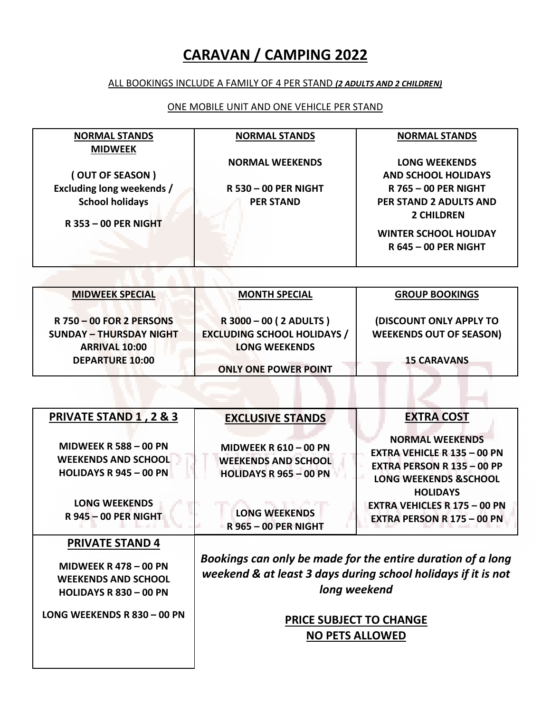## **CARAVAN / CAMPING 2022**

#### ALL BOOKINGS INCLUDE A FAMILY OF 4 PER STAND *(2 ADULTS AND 2 CHILDREN)*

#### ONE MOBILE UNIT AND ONE VEHICLE PER STAND

| <b>NORMAL STANDS</b>                                                                                                           | <b>NORMAL STANDS</b>                                                          | <b>NORMAL STANDS</b>                                                                                                                                                                            |  |
|--------------------------------------------------------------------------------------------------------------------------------|-------------------------------------------------------------------------------|-------------------------------------------------------------------------------------------------------------------------------------------------------------------------------------------------|--|
| <b>MIDWEEK</b><br>(OUT OF SEASON)<br><b>Excluding long weekends /</b><br><b>School holidays</b><br><b>R 353 - 00 PER NIGHT</b> | <b>NORMAL WEEKENDS</b><br><b>R 530 - 00 PER NIGHT</b><br><b>PER STAND</b>     | <b>LONG WEEKENDS</b><br><b>AND SCHOOL HOLIDAYS</b><br><b>R 765 - 00 PER NIGHT</b><br>PER STAND 2 ADULTS AND<br><b>2 CHILDREN</b><br><b>WINTER SCHOOL HOLIDAY</b><br><b>R 645 - 00 PER NIGHT</b> |  |
|                                                                                                                                |                                                                               |                                                                                                                                                                                                 |  |
| <b>MIDWEEK SPECIAL</b>                                                                                                         | <b>MONTH SPECIAL</b>                                                          | <b>GROUP BOOKINGS</b>                                                                                                                                                                           |  |
| <b>R 750 - 00 FOR 2 PERSONS</b>                                                                                                | R 3000 - 00 ( 2 ADULTS )                                                      | <b>(DISCOUNT ONLY APPLY TO</b>                                                                                                                                                                  |  |
| <b>SUNDAY - THURSDAY NIGHT</b>                                                                                                 | <b>EXCLUDING SCHOOL HOLIDAYS /</b>                                            | <b>WEEKENDS OUT OF SEASON)</b>                                                                                                                                                                  |  |
| <b>ARRIVAL 10:00</b><br><b>DEPARTURE 10:00</b>                                                                                 | <b>LONG WEEKENDS</b>                                                          | <b>15 CARAVANS</b>                                                                                                                                                                              |  |
|                                                                                                                                | <b>ONLY ONE POWER POINT</b>                                                   |                                                                                                                                                                                                 |  |
|                                                                                                                                |                                                                               |                                                                                                                                                                                                 |  |
| <b>PRIVATE STAND 1, 2 &amp; 3</b>                                                                                              | <b>EXCLUSIVE STANDS</b>                                                       | <b>EXTRA COST</b>                                                                                                                                                                               |  |
| <b>MIDWEEK R 588 - 00 PN</b>                                                                                                   | <b>MIDWEEK R 610 - 00 PN</b>                                                  | <b>NORMAL WEEKENDS</b>                                                                                                                                                                          |  |
| <b>WEEKENDS AND SCHOOL</b>                                                                                                     | <b>WEEKENDS AND SCHOOL</b>                                                    | <b>EXTRA VEHICLE R 135 - 00 PN</b><br><b>EXTRA PERSON R 135 - 00 PP</b>                                                                                                                         |  |
| <b>HOLIDAYS R 945 - 00 PN</b>                                                                                                  | <b>HOLIDAYS R 965 - 00 PN</b>                                                 | <b>LONG WEEKENDS &amp;SCHOOL</b><br><b>HOLIDAYS</b>                                                                                                                                             |  |
| <b>LONG WEEKENDS</b>                                                                                                           | <b>LONG WEEKENDS</b>                                                          | <b>EXTRA VEHICLES R 175 - 00 PN</b>                                                                                                                                                             |  |
| <b>R945-00 PER NIGHT</b>                                                                                                       | <b>R 965 - 00 PER NIGHT</b>                                                   | <b>EXTRA PERSON R 175 - 00 PN</b>                                                                                                                                                               |  |
| <b>PRIVATE STAND 4</b>                                                                                                         |                                                                               |                                                                                                                                                                                                 |  |
| <b>MIDWEEK R 478 - 00 PN</b>                                                                                                   | Bookings can only be made for the entire duration of a long                   |                                                                                                                                                                                                 |  |
| <b>WEEKENDS AND SCHOOL</b>                                                                                                     | weekend & at least 3 days during school holidays if it is not<br>long weekend |                                                                                                                                                                                                 |  |
| <b>HOLIDAYS R 830 - 00 PN</b>                                                                                                  |                                                                               |                                                                                                                                                                                                 |  |
| LONG WEEKENDS R 830 - 00 PN                                                                                                    | <b>PRICE SUBJECT TO CHANGE</b>                                                |                                                                                                                                                                                                 |  |
|                                                                                                                                | <b>NO PETS ALLOWED</b>                                                        |                                                                                                                                                                                                 |  |
|                                                                                                                                |                                                                               |                                                                                                                                                                                                 |  |
|                                                                                                                                |                                                                               |                                                                                                                                                                                                 |  |